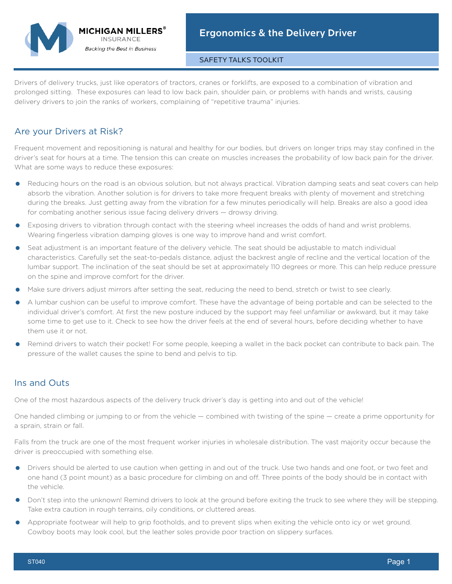# **MICHIGAN MILLERS® INSURANCE Backing the Best in Business**

#### SAFETY TALKS TOOLKIT

Drivers of delivery trucks, just like operators of tractors, cranes or forklifts, are exposed to a combination of vibration and prolonged sitting. These exposures can lead to low back pain, shoulder pain, or problems with hands and wrists, causing delivery drivers to join the ranks of workers, complaining of "repetitive trauma" injuries.

## Are your Drivers at Risk?

Frequent movement and repositioning is natural and healthy for our bodies, but drivers on longer trips may stay confined in the driver's seat for hours at a time. The tension this can create on muscles increases the probability of low back pain for the driver. What are some ways to reduce these exposures:

- **•** Reducing hours on the road is an obvious solution, but not always practical. Vibration damping seats and seat covers can help absorb the vibration. Another solution is for drivers to take more frequent breaks with plenty of movement and stretching during the breaks. Just getting away from the vibration for a few minutes periodically will help. Breaks are also a good idea for combating another serious issue facing delivery drivers — drowsy driving.
- **•** Exposing drivers to vibration through contact with the steering wheel increases the odds of hand and wrist problems. Wearing fingerless vibration damping gloves is one way to improve hand and wrist comfort.
- **•** Seat adjustment is an important feature of the delivery vehicle. The seat should be adjustable to match individual characteristics. Carefully set the seat-to-pedals distance, adjust the backrest angle of recline and the vertical location of the lumbar support. The inclination of the seat should be set at approximately 110 degrees or more. This can help reduce pressure on the spine and improve comfort for the driver.
- **•** Make sure drivers adjust mirrors after setting the seat, reducing the need to bend, stretch or twist to see clearly.
- **•** A lumbar cushion can be useful to improve comfort. These have the advantage of being portable and can be selected to the individual driver's comfort. At first the new posture induced by the support may feel unfamiliar or awkward, but it may take some time to get use to it. Check to see how the driver feels at the end of several hours, before deciding whether to have them use it or not.
- **•** Remind drivers to watch their pocket! For some people, keeping a wallet in the back pocket can contribute to back pain. The pressure of the wallet causes the spine to bend and pelvis to tip.

### Ins and Outs

One of the most hazardous aspects of the delivery truck driver's day is getting into and out of the vehicle!

One handed climbing or jumping to or from the vehicle — combined with twisting of the spine — create a prime opportunity for a sprain, strain or fall.

Falls from the truck are one of the most frequent worker injuries in wholesale distribution. The vast majority occur because the driver is preoccupied with something else.

- **•** Drivers should be alerted to use caution when getting in and out of the truck. Use two hands and one foot, or two feet and one hand (3 point mount) as a basic procedure for climbing on and off. Three points of the body should be in contact with the vehicle.
- **•** Don't step into the unknown! Remind drivers to look at the ground before exiting the truck to see where they will be stepping. Take extra caution in rough terrains, oily conditions, or cluttered areas.
- **•** Appropriate footwear will help to grip footholds, and to prevent slips when exiting the vehicle onto icy or wet ground. Cowboy boots may look cool, but the leather soles provide poor traction on slippery surfaces.